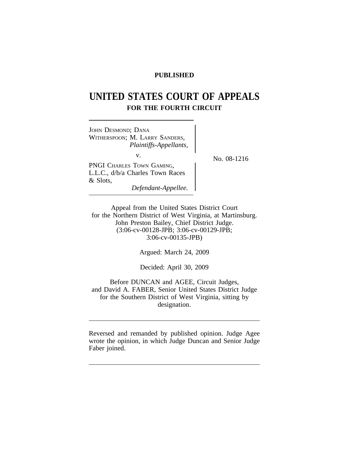# **PUBLISHED**

# **UNITED STATES COURT OF APPEALS FOR THE FOURTH CIRCUIT**

JOHN DESMOND; DANA WITHERSPOON; M. LARRY SANDERS, *Plaintiffs-Appellants,* v.  $N_{\rm O.}$  08-1216 PNGI CHARLES TOWN GAMING, L.L.C., d/b/a Charles Town Races & Slots, *Defendant-Appellee.*

Appeal from the United States District Court for the Northern District of West Virginia, at Martinsburg. John Preston Bailey, Chief District Judge. (3:06-cv-00128-JPB; 3:06-cv-00129-JPB; 3:06-cv-00135-JPB)

Argued: March 24, 2009

Decided: April 30, 2009

Before DUNCAN and AGEE, Circuit Judges, and David A. FABER, Senior United States District Judge for the Southern District of West Virginia, sitting by designation.

Reversed and remanded by published opinion. Judge Agee wrote the opinion, in which Judge Duncan and Senior Judge Faber joined.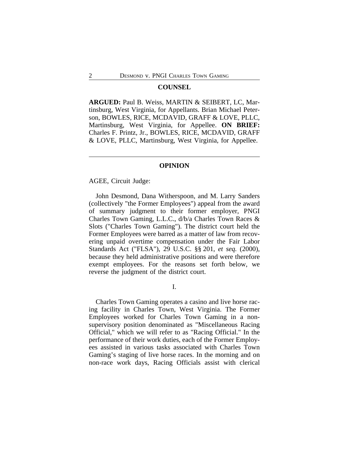#### **COUNSEL**

**ARGUED:** Paul B. Weiss, MARTIN & SEIBERT, LC, Martinsburg, West Virginia, for Appellants. Brian Michael Peterson, BOWLES, RICE, MCDAVID, GRAFF & LOVE, PLLC, Martinsburg, West Virginia, for Appellee. **ON BRIEF:** Charles F. Printz, Jr., BOWLES, RICE, MCDAVID, GRAFF & LOVE, PLLC, Martinsburg, West Virginia, for Appellee.

## **OPINION**

AGEE, Circuit Judge:

John Desmond, Dana Witherspoon, and M. Larry Sanders (collectively "the Former Employees") appeal from the award of summary judgment to their former employer, PNGI Charles Town Gaming, L.L.C., d/b/a Charles Town Races & Slots ("Charles Town Gaming"). The district court held the Former Employees were barred as a matter of law from recovering unpaid overtime compensation under the Fair Labor Standards Act ("FLSA"), 29 U.S.C. §§ 201, *et seq.* (2000), because they held administrative positions and were therefore exempt employees. For the reasons set forth below, we reverse the judgment of the district court.

I.

Charles Town Gaming operates a casino and live horse racing facility in Charles Town, West Virginia. The Former Employees worked for Charles Town Gaming in a nonsupervisory position denominated as "Miscellaneous Racing Official," which we will refer to as "Racing Official." In the performance of their work duties, each of the Former Employees assisted in various tasks associated with Charles Town Gaming's staging of live horse races. In the morning and on non-race work days, Racing Officials assist with clerical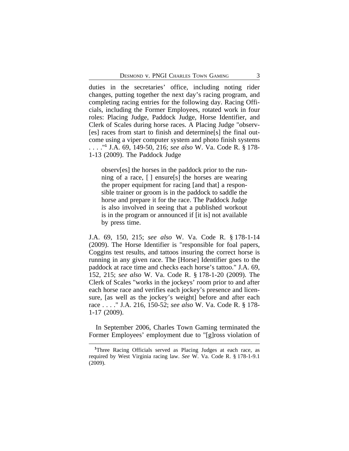duties in the secretaries' office, including noting rider changes, putting together the next day's racing program, and completing racing entries for the following day. Racing Officials, including the Former Employees, rotated work in four roles: Placing Judge, Paddock Judge, Horse Identifier, and Clerk of Scales during horse races. A Placing Judge "observ- [es] races from start to finish and determine[s] the final outcome using a viper computer system and photo finish systems . . . ."**<sup>1</sup>** J.A. 69, 149-50, 216; *see also* W. Va. Code R. § 178- 1-13 (2009). The Paddock Judge

observ[es] the horses in the paddock prior to the running of a race, [ ] ensure[s] the horses are wearing the proper equipment for racing [and that] a responsible trainer or groom is in the paddock to saddle the horse and prepare it for the race. The Paddock Judge is also involved in seeing that a published workout is in the program or announced if [it is] not available by press time.

J.A. 69, 150, 215; *see also* W. Va. Code R. § 178-1-14 (2009). The Horse Identifier is "responsible for foal papers, Coggins test results, and tattoos insuring the correct horse is running in any given race. The [Horse] Identifier goes to the paddock at race time and checks each horse's tattoo." J.A. 69, 152, 215; *see also* W. Va. Code R. § 178-1-20 (2009). The Clerk of Scales "works in the jockeys' room prior to and after each horse race and verifies each jockey's presence and licensure, [as well as the jockey's weight] before and after each race . . . ." J.A. 216, 150-52; *see also* W. Va. Code R. § 178- 1-17 (2009).

In September 2006, Charles Town Gaming terminated the Former Employees' employment due to "[g]ross violation of

**<sup>1</sup>**Three Racing Officials served as Placing Judges at each race, as required by West Virginia racing law. *See* W. Va. Code R. § 178-1-9.1 (2009).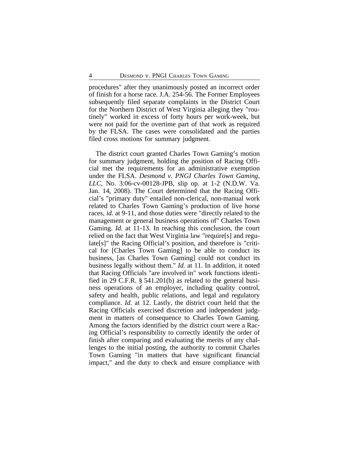procedures" after they unanimously posted an incorrect order of finish for a horse race. J.A. 254-56. The Former Employees subsequently filed separate complaints in the District Court for the Northern District of West Virginia alleging they "routinely" worked in excess of forty hours per work-week, but were not paid for the overtime part of that work as required by the FLSA. The cases were consolidated and the parties filed cross motions for summary judgment.

The district court granted Charles Town Gaming's motion for summary judgment, holding the position of Racing Official met the requirements for an administrative exemption under the FLSA. *Desmond v. PNGI Charles Town Gaming, LLC*, No. 3:06-cv-00128-JPB, slip op. at 1-2 (N.D.W. Va. Jan. 14, 2008). The Court determined that the Racing Official's "primary duty" entailed non-clerical, non-manual work related to Charles Town Gaming's production of live horse races, *id.* at 9-11, and those duties were "directly related to the management or general business operations of" Charles Town Gaming. *Id.* at 11-13. In reaching this conclusion, the court relied on the fact that West Virginia law "require[s] and regulate[s]" the Racing Official's position, and therefore is "critical for [Charles Town Gaming] to be able to conduct its business, [as Charles Town Gaming] could not conduct its business legally without them." *Id.* at 11. In addition, it noted that Racing Officials "are involved in" work functions identified in 29 C.F.R. § 541.201(b) as related to the general business operations of an employer, including quality control, safety and health, public relations, and legal and regulatory compliance. *Id.* at 12. Lastly, the district court held that the Racing Officials exercised discretion and independent judgment in matters of consequence to Charles Town Gaming. Among the factors identified by the district court were a Racing Official's responsibility to correctly identify the order of finish after comparing and evaluating the merits of any challenges to the initial posting, the authority to commit Charles Town Gaming "in matters that have significant financial impact," and the duty to check and ensure compliance with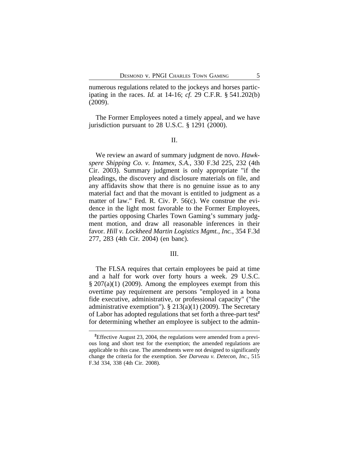numerous regulations related to the jockeys and horses participating in the races. *Id.* at 14-16; *cf.* 29 C.F.R. § 541.202(b) (2009).

The Former Employees noted a timely appeal, and we have jurisdiction pursuant to 28 U.S.C. § 1291 (2000).

II.

We review an award of summary judgment de novo. *Hawkspere Shipping Co. v. Intamex, S.A.*, 330 F.3d 225, 232 (4th Cir. 2003). Summary judgment is only appropriate "if the pleadings, the discovery and disclosure materials on file, and any affidavits show that there is no genuine issue as to any material fact and that the movant is entitled to judgment as a matter of law." Fed. R. Civ. P. 56(c). We construe the evidence in the light most favorable to the Former Employees, the parties opposing Charles Town Gaming's summary judgment motion, and draw all reasonable inferences in their favor. *Hill v. Lockheed Martin Logistics Mgmt., Inc.*, 354 F.3d 277, 283 (4th Cir. 2004) (en banc).

## III.

The FLSA requires that certain employees be paid at time and a half for work over forty hours a week. 29 U.S.C.  $\S 207(a)(1)$  (2009). Among the employees exempt from this overtime pay requirement are persons "employed in a bona fide executive, administrative, or professional capacity" ("the administrative exemption").  $\S 213(a)(1)$  (2009). The Secretary of Labor has adopted regulations that set forth a three-part test**<sup>2</sup>** for determining whether an employee is subject to the admin-

**<sup>2</sup>**Effective August 23, 2004, the regulations were amended from a previous long and short test for the exemption; the amended regulations are applicable to this case. The amendments were not designed to significantly change the criteria for the exemption. *See Darveau v. Detecon, Inc.*, 515 F.3d 334, 338 (4th Cir. 2008).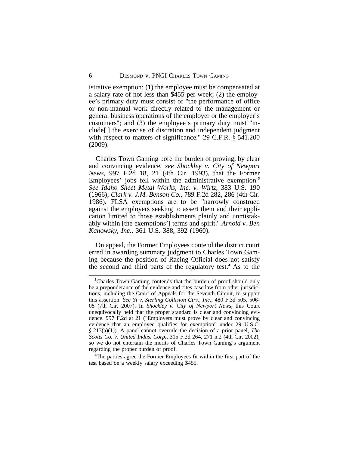istrative exemption: (1) the employee must be compensated at a salary rate of not less than \$455 per week; (2) the employee's primary duty must consist of "the performance of office or non-manual work directly related to the management or general business operations of the employer or the employer's customers"; and (3) the employee's primary duty must "include[ ] the exercise of discretion and independent judgment with respect to matters of significance." 29 C.F.R. § 541.200 (2009).

Charles Town Gaming bore the burden of proving, by clear and convincing evidence, *see Shockley v. City of Newport News*, 997 F.2d 18, 21 (4th Cir. 1993), that the Former Employees' jobs fell within the administrative exemption.**<sup>3</sup>** *See Idaho Sheet Metal Works, Inc. v. Wirtz*, 383 U.S. 190 (1966); *Clark v. J.M. Benson Co.*, 789 F.2d 282, 286 (4th Cir. 1986). FLSA exemptions are to be "narrowly construed against the employers seeking to assert them and their application limited to those establishments plainly and unmistakably within [the exemptions'] terms and spirit." *Arnold v. Ben Kanowsky, Inc.*, 361 U.S. 388, 392 (1960).

On appeal, the Former Employees contend the district court erred in awarding summary judgment to Charles Town Gaming because the position of Racing Official does not satisfy the second and third parts of the regulatory test.**<sup>4</sup>** As to the

**<sup>3</sup>**Charles Town Gaming contends that the burden of proof should only be a preponderance of the evidence and cites case law from other jurisdictions, including the Court of Appeals for the Seventh Circuit, to support this assertion. *See Yi v. Sterling Collision Ctrs., Inc.*, 480 F.3d 505, 506- 08 (7th Cir. 2007). In *Shockley v. City of Newport News*, this Court unequivocally held that the proper standard is clear and convincing evidence. 997 F.2d at 21 ("Employers must prove by clear and convincing evidence that an employee qualifies for exemption" under 29 U.S.C. § 213(a)(1)). A panel cannot overrule the decision of a prior panel, *The Scotts Co. v. United Indus. Corp.*, 315 F.3d 264, 271 n.2 (4th Cir. 2002), so we do not entertain the merits of Charles Town Gaming's argument regarding the proper burden of proof.

**<sup>4</sup>**The parties agree the Former Employees fit within the first part of the test based on a weekly salary exceeding \$455.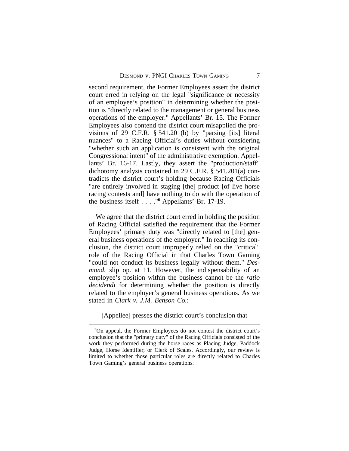second requirement, the Former Employees assert the district court erred in relying on the legal "significance or necessity of an employee's position" in determining whether the position is "directly related to the management or general business operations of the employer." Appellants' Br. 15. The Former Employees also contend the district court misapplied the provisions of 29 C.F.R. § 541.201(b) by "parsing [its] literal nuances" to a Racing Official's duties without considering "whether such an application is consistent with the original Congressional intent" of the administrative exemption. Appellants' Br. 16-17. Lastly, they assert the "production/staff" dichotomy analysis contained in 29 C.F.R. § 541.201(a) contradicts the district court's holding because Racing Officials "are entirely involved in staging [the] product [of live horse racing contests and] have nothing to do with the operation of the business itself . . . ."**<sup>5</sup>** Appellants' Br. 17-19.

We agree that the district court erred in holding the position of Racing Official satisfied the requirement that the Former Employees' primary duty was "directly related to [the] general business operations of the employer." In reaching its conclusion, the district court improperly relied on the "critical" role of the Racing Official in that Charles Town Gaming "could not conduct its business legally without them." *Desmond*, slip op. at 11. However, the indispensability of an employee's position within the business cannot be the *ratio decidendi* for determining whether the position is directly related to the employer's general business operations. As we stated in *Clark v. J.M. Benson Co.*:

[Appellee] presses the district court's conclusion that

**<sup>5</sup>**On appeal, the Former Employees do not contest the district court's conclusion that the "primary duty" of the Racing Officials consisted of the work they performed during the horse races as Placing Judge, Paddock Judge, Horse Identifier, or Clerk of Scales. Accordingly, our review is limited to whether those particular roles are directly related to Charles Town Gaming's general business operations.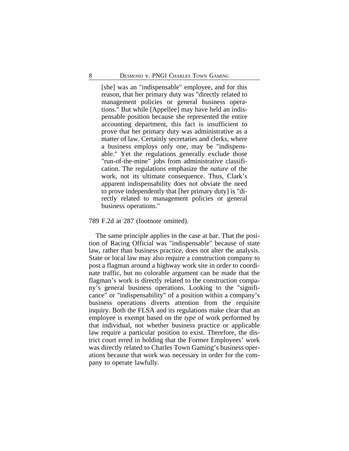[she] was an "indispensable" employee, and for this reason, that her primary duty was "directly related to management policies or general business operations." But while [Appellee] may have held an indispensable position because she represented the entire accounting department, this fact is insufficient to prove that her primary duty was administrative as a matter of law. Certainly secretaries and clerks, where a business employs only one, may be "indispensable." Yet the regulations generally exclude those "run-of-the-mine" jobs from administrative classification. The regulations emphasize the *nature* of the work, not its ultimate consequence. Thus, Clark's apparent indispensability does not obviate the need to prove independently that [her primary duty] is "directly related to management policies or general business operations."

#### 789 F.2d at 287 (footnote omitted).

The same principle applies in the case at bar. That the position of Racing Official was "indispensable" because of state law, rather than business practice, does not alter the analysis. State or local law may also require a construction company to post a flagman around a highway work site in order to coordinate traffic, but no colorable argument can be made that the flagman's work is directly related to the construction company's general business operations. Looking to the "significance" or "indispensability" of a position within a company's business operations diverts attention from the requisite inquiry. Both the FLSA and its regulations make clear that an employee is exempt based on the *type* of work performed by that individual, not whether business practice or applicable law require a particular position to exist. Therefore, the district court erred in holding that the Former Employees' work was directly related to Charles Town Gaming's business operations because that work was necessary in order for the company to operate lawfully.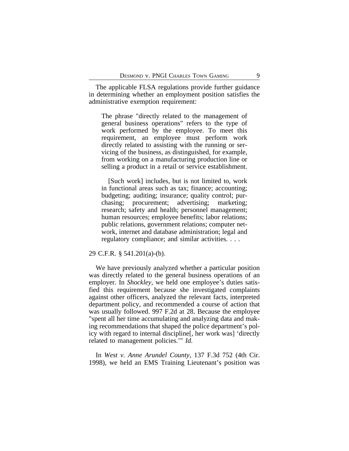The applicable FLSA regulations provide further guidance in determining whether an employment position satisfies the administrative exemption requirement:

The phrase "directly related to the management of general business operations" refers to the type of work performed by the employee. To meet this requirement, an employee must perform work directly related to assisting with the running or servicing of the business, as distinguished, for example, from working on a manufacturing production line or selling a product in a retail or service establishment.

[Such work] includes, but is not limited to, work in functional areas such as tax; finance; accounting; budgeting; auditing; insurance; quality control; purchasing; procurement; advertising; marketing; research; safety and health; personnel management; human resources; employee benefits; labor relations; public relations, government relations; computer network, internet and database administration; legal and regulatory compliance; and similar activities. . . .

## 29 C.F.R. § 541.201(a)-(b).

We have previously analyzed whether a particular position was directly related to the general business operations of an employer. In *Shockley*, we held one employee's duties satisfied this requirement because she investigated complaints against other officers, analyzed the relevant facts, interpreted department policy, and recommended a course of action that was usually followed. 997 F.2d at 28. Because the employee "spent all her time accumulating and analyzing data and making recommendations that shaped the police department's policy with regard to internal discipline[, her work was] 'directly related to management policies.'" *Id.*

In *West v. Anne Arundel County*, 137 F.3d 752 (4th Cir. 1998), we held an EMS Training Lieutenant's position was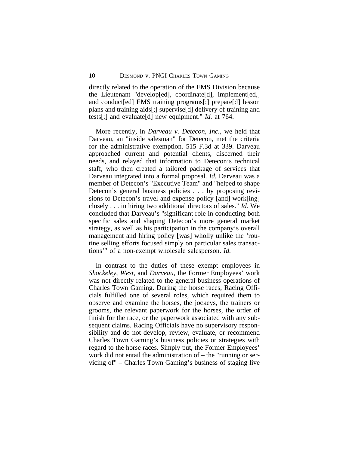directly related to the operation of the EMS Division because the Lieutenant "develop[ed], coordinate[d], implement[ed,] and conduct[ed] EMS training programs[;] prepare[d] lesson plans and training aids[;] supervise[d] delivery of training and tests[;] and evaluate[d] new equipment." *Id.* at 764.

More recently, in *Darveau v. Detecon, Inc.*, we held that Darveau, an "inside salesman" for Detecon, met the criteria for the administrative exemption. 515 F.3d at 339. Darveau approached current and potential clients, discerned their needs, and relayed that information to Detecon's technical staff, who then created a tailored package of services that Darveau integrated into a formal proposal. *Id.* Darveau was a member of Detecon's "Executive Team" and "helped to shape Detecon's general business policies . . . by proposing revisions to Detecon's travel and expense policy [and] work[ing] closely . . . in hiring two additional directors of sales." *Id.* We concluded that Darveau's "significant role in conducting both specific sales and shaping Detecon's more general market strategy, as well as his participation in the company's overall management and hiring policy [was] wholly unlike the 'routine selling efforts focused simply on particular sales transactions'" of a non-exempt wholesale salesperson. *Id.*

In contrast to the duties of these exempt employees in *Shockeley*, *West*, and *Darveau*, the Former Employees' work was not directly related to the general business operations of Charles Town Gaming. During the horse races, Racing Officials fulfilled one of several roles, which required them to observe and examine the horses, the jockeys, the trainers or grooms, the relevant paperwork for the horses, the order of finish for the race, or the paperwork associated with any subsequent claims. Racing Officials have no supervisory responsibility and do not develop, review, evaluate, or recommend Charles Town Gaming's business policies or strategies with regard to the horse races. Simply put, the Former Employees' work did not entail the administration of – the "running or servicing of" – Charles Town Gaming's business of staging live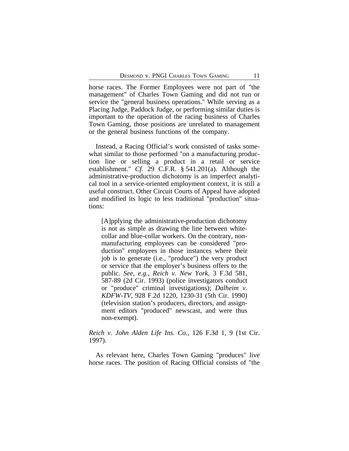horse races. The Former Employees were not part of "the management" of Charles Town Gaming and did not run or service the "general business operations." While serving as a Placing Judge, Paddock Judge, or performing similar duties is important to the operation of the racing business of Charles Town Gaming, those positions are unrelated to management or the general business functions of the company.

Instead, a Racing Official's work consisted of tasks somewhat similar to those performed "on a manufacturing production line or selling a product in a retail or service establishment." *Cf.* 29 C.F.R. § 541.201(a). Although the administrative-production dichotomy is an imperfect analytical tool in a service-oriented employment context, it is still a useful construct. Other Circuit Courts of Appeal have adopted and modified its logic to less traditional "production" situations:

[A]pplying the administrative-production dichotomy is not as simple as drawing the line between whitecollar and blue-collar workers. On the contrary, nonmanufacturing employees can be considered "production" employees in those instances where their job is to generate (i.e., "produce") the very product or service that the employer's business offers to the public. *See, e.g.*, *Reich v. New York*, 3 F.3d 581, 587-89 (2d Cir. 1993) (police investigators conduct or "produce" criminal investigations); *Dalheim v. KDFW-TV*, 928 F.2d 1220, 1230-31 (5th Cir. 1990) (television station's producers, directors, and assignment editors "produced" newscast, and were thus non-exempt).

# *Reich v. John Alden Life Ins. Co.*, 126 F.3d 1, 9 (1st Cir. 1997).

As relevant here, Charles Town Gaming "produces" live horse races. The position of Racing Official consists of "the